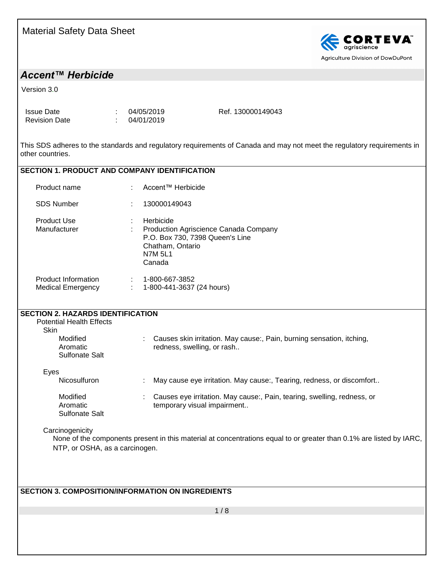

### *Accent™ Herbicide*

Version 3.0

| <b>Issue Date</b>    | 04/05/2019 |
|----------------------|------------|
| <b>Revision Date</b> | 04/01/2019 |

Ref. 130000149043

This SDS adheres to the standards and regulatory requirements of Canada and may not meet the regulatory requirements in other countries.

#### **SECTION 1. PRODUCT AND COMPANY IDENTIFICATION**

| Product name                                           | ÷         | Accent™ Herbicide                                                                                                                     |
|--------------------------------------------------------|-----------|---------------------------------------------------------------------------------------------------------------------------------------|
| <b>SDS Number</b>                                      | $\bullet$ | 130000149043                                                                                                                          |
| <b>Product Use</b><br>Manufacturer                     | ٠<br>÷    | Herbicide<br>Production Agriscience Canada Company<br>P.O. Box 730, 7398 Queen's Line<br>Chatham, Ontario<br><b>N7M 5L1</b><br>Canada |
| <b>Product Information</b><br><b>Medical Emergency</b> | ÷<br>÷    | 1-800-667-3852<br>1-800-441-3637 (24 hours)                                                                                           |

#### **SECTION 2. HAZARDS IDENTIFICATION** Potential Health Effects **Skin** Modified Aromatic Sulfonate Salt : Causes skin irritation. May cause:, Pain, burning sensation, itching, redness, swelling, or rash.. Eyes Nicosulfuron : May cause eye irritation. May cause:, Tearing, redness, or discomfort.. Modified Aromatic Sulfonate Salt : Causes eye irritation. May cause:, Pain, tearing, swelling, redness, or temporary visual impairment..

#### **Carcinogenicity**

None of the components present in this material at concentrations equal to or greater than 0.1% are listed by IARC, NTP, or OSHA, as a carcinogen.

#### **SECTION 3. COMPOSITION/INFORMATION ON INGREDIENTS**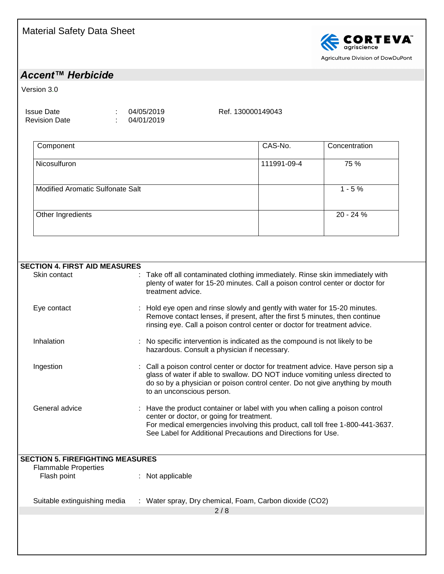

### *Accent™ Herbicide*

Version 3.0

Issue Date : 04/05/2019 Revision Date : 04/01/2019

Ref. 130000149043

| Component                        | CAS-No.     | Concentration |
|----------------------------------|-------------|---------------|
| Nicosulfuron                     | 111991-09-4 | 75 %          |
| Modified Aromatic Sulfonate Salt |             | $1 - 5%$      |
| Other Ingredients                |             | 20 - 24 %     |
|                                  |             |               |

| <b>SECTION 4. FIRST AID MEASURES</b>       |                                                                                                                                                                                                                                                                             |
|--------------------------------------------|-----------------------------------------------------------------------------------------------------------------------------------------------------------------------------------------------------------------------------------------------------------------------------|
| Skin contact                               | Take off all contaminated clothing immediately. Rinse skin immediately with<br>plenty of water for 15-20 minutes. Call a poison control center or doctor for<br>treatment advice.                                                                                           |
| Eye contact                                | Hold eye open and rinse slowly and gently with water for 15-20 minutes.<br>Remove contact lenses, if present, after the first 5 minutes, then continue<br>rinsing eye. Call a poison control center or doctor for treatment advice.                                         |
| Inhalation                                 | No specific intervention is indicated as the compound is not likely to be<br>hazardous. Consult a physician if necessary.                                                                                                                                                   |
| Ingestion                                  | Call a poison control center or doctor for treatment advice. Have person sip a<br>glass of water if able to swallow. DO NOT induce vomiting unless directed to<br>do so by a physician or poison control center. Do not give anything by mouth<br>to an unconscious person. |
| General advice                             | : Have the product container or label with you when calling a poison control<br>center or doctor, or going for treatment.<br>For medical emergencies involving this product, call toll free 1-800-441-3637.<br>See Label for Additional Precautions and Directions for Use. |
| <b>SECTION 5. FIREFIGHTING MEASURES</b>    |                                                                                                                                                                                                                                                                             |
| <b>Flammable Properties</b><br>Flash point | : Not applicable                                                                                                                                                                                                                                                            |
| Suitable extinguishing media               | : Water spray, Dry chemical, Foam, Carbon dioxide (CO2)                                                                                                                                                                                                                     |
|                                            | 2/8                                                                                                                                                                                                                                                                         |
|                                            |                                                                                                                                                                                                                                                                             |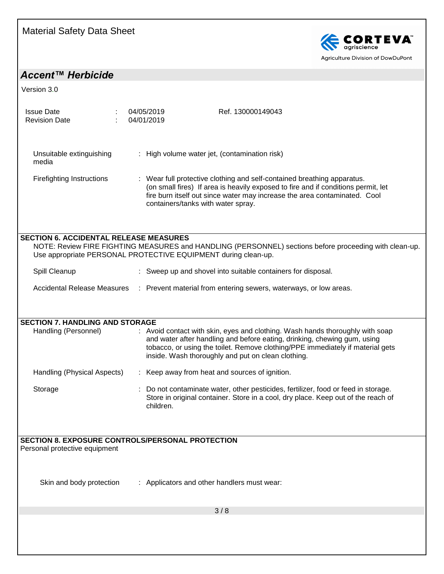

## *Accent™ Herbicide*

| <b>Issue Date</b><br><b>Revision Date</b>                      | 04/05/2019<br>04/01/2019                       | Ref. 130000149043                                                                                                                                                                                                                                                                                 |  |
|----------------------------------------------------------------|------------------------------------------------|---------------------------------------------------------------------------------------------------------------------------------------------------------------------------------------------------------------------------------------------------------------------------------------------------|--|
| Unsuitable extinguishing<br>media                              | : High volume water jet, (contamination risk)  |                                                                                                                                                                                                                                                                                                   |  |
| <b>Firefighting Instructions</b>                               |                                                | : Wear full protective clothing and self-contained breathing apparatus.<br>(on small fires) If area is heavily exposed to fire and if conditions permit, let<br>fire burn itself out since water may increase the area contaminated. Cool<br>containers/tanks with water spray.                   |  |
| <b>SECTION 6. ACCIDENTAL RELEASE MEASURES</b>                  |                                                |                                                                                                                                                                                                                                                                                                   |  |
| Use appropriate PERSONAL PROTECTIVE EQUIPMENT during clean-up. |                                                | NOTE: Review FIRE FIGHTING MEASURES and HANDLING (PERSONNEL) sections before proceeding with clean-up.                                                                                                                                                                                            |  |
| Spill Cleanup                                                  |                                                | : Sweep up and shovel into suitable containers for disposal.                                                                                                                                                                                                                                      |  |
| Accidental Release Measures                                    |                                                | : Prevent material from entering sewers, waterways, or low areas.                                                                                                                                                                                                                                 |  |
|                                                                |                                                |                                                                                                                                                                                                                                                                                                   |  |
| <b>SECTION 7. HANDLING AND STORAGE</b>                         |                                                |                                                                                                                                                                                                                                                                                                   |  |
| Handling (Personnel)                                           |                                                | : Avoid contact with skin, eyes and clothing. Wash hands thoroughly with soap<br>and water after handling and before eating, drinking, chewing gum, using<br>tobacco, or using the toilet. Remove clothing/PPE immediately if material gets<br>inside. Wash thoroughly and put on clean clothing. |  |
| Handling (Physical Aspects)                                    | : Keep away from heat and sources of ignition. |                                                                                                                                                                                                                                                                                                   |  |
| Storage                                                        | children.                                      | Do not contaminate water, other pesticides, fertilizer, food or feed in storage.<br>Store in original container. Store in a cool, dry place. Keep out of the reach of                                                                                                                             |  |
| <b>SECTION 8. EXPOSURE CONTROLS/PERSONAL PROTECTION</b>        |                                                |                                                                                                                                                                                                                                                                                                   |  |
| Personal protective equipment                                  |                                                |                                                                                                                                                                                                                                                                                                   |  |
|                                                                |                                                |                                                                                                                                                                                                                                                                                                   |  |
| Skin and body protection                                       | : Applicators and other handlers must wear:    |                                                                                                                                                                                                                                                                                                   |  |
|                                                                |                                                | 3/8                                                                                                                                                                                                                                                                                               |  |
|                                                                |                                                |                                                                                                                                                                                                                                                                                                   |  |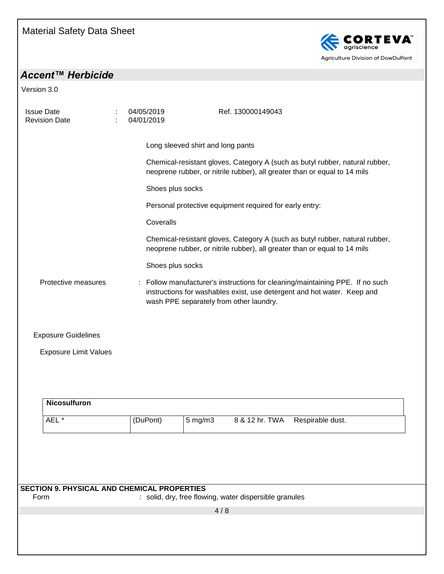

## *Accent™ Herbicide*

| <b>Issue Date</b><br><b>Revision Date</b>                  | 04/05/2019<br>04/01/2019 | Ref. 130000149043                                                                                                                                                                                   |
|------------------------------------------------------------|--------------------------|-----------------------------------------------------------------------------------------------------------------------------------------------------------------------------------------------------|
|                                                            |                          | Long sleeved shirt and long pants                                                                                                                                                                   |
|                                                            |                          | Chemical-resistant gloves, Category A (such as butyl rubber, natural rubber,<br>neoprene rubber, or nitrile rubber), all greater than or equal to 14 mils                                           |
|                                                            | Shoes plus socks         |                                                                                                                                                                                                     |
|                                                            |                          | Personal protective equipment required for early entry:                                                                                                                                             |
|                                                            | Coveralls                |                                                                                                                                                                                                     |
|                                                            |                          | Chemical-resistant gloves, Category A (such as butyl rubber, natural rubber,<br>neoprene rubber, or nitrile rubber), all greater than or equal to 14 mils                                           |
|                                                            | Shoes plus socks         |                                                                                                                                                                                                     |
| Protective measures                                        |                          | : Follow manufacturer's instructions for cleaning/maintaining PPE. If no such<br>instructions for washables exist, use detergent and hot water. Keep and<br>wash PPE separately from other laundry. |
| <b>Exposure Guidelines</b>                                 |                          |                                                                                                                                                                                                     |
| <b>Exposure Limit Values</b>                               |                          |                                                                                                                                                                                                     |
| <b>Nicosulfuron</b>                                        |                          |                                                                                                                                                                                                     |
| AEL *                                                      | (DuPont)                 | 8 & 12 hr. TWA<br>5 mg/m3<br>Respirable dust.                                                                                                                                                       |
|                                                            |                          |                                                                                                                                                                                                     |
|                                                            |                          |                                                                                                                                                                                                     |
|                                                            |                          |                                                                                                                                                                                                     |
| <b>SECTION 9. PHYSICAL AND CHEMICAL PROPERTIES</b><br>Form |                          | : solid, dry, free flowing, water dispersible granules                                                                                                                                              |
|                                                            |                          | 4/8                                                                                                                                                                                                 |
|                                                            |                          |                                                                                                                                                                                                     |
|                                                            |                          |                                                                                                                                                                                                     |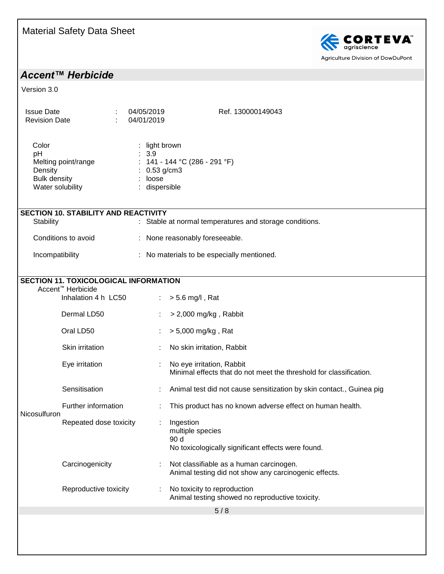

Agriculture Division of DowDuPont

## *Accent™ Herbicide*

| <b>Issue Date</b><br><b>Revision Date</b>                                                |                                                                                                      | 04/05/2019<br>04/01/2019                                   | Ref. 130000149043                                                                                |
|------------------------------------------------------------------------------------------|------------------------------------------------------------------------------------------------------|------------------------------------------------------------|--------------------------------------------------------------------------------------------------|
| Color<br>pH<br>Melting point/range<br>Density<br><b>Bulk density</b><br>Water solubility |                                                                                                      | light brown<br>3.9<br>$0.53$ g/cm3<br>loose<br>dispersible | : $141 - 144$ °C (286 - 291 °F)                                                                  |
| <b>Stability</b>                                                                         | <b>SECTION 10. STABILITY AND REACTIVITY</b>                                                          |                                                            | : Stable at normal temperatures and storage conditions.                                          |
| Conditions to avoid                                                                      |                                                                                                      |                                                            | : None reasonably foreseeable.                                                                   |
| Incompatibility                                                                          |                                                                                                      |                                                            | : No materials to be especially mentioned.                                                       |
|                                                                                          | <b>SECTION 11. TOXICOLOGICAL INFORMATION</b><br>Accent <sup>™</sup> Herbicide<br>Inhalation 4 h LC50 |                                                            | $\therefore$ > 5.6 mg/l, Rat                                                                     |
|                                                                                          | Dermal LD50                                                                                          |                                                            | $>$ 2,000 mg/kg, Rabbit                                                                          |
|                                                                                          | Oral LD50                                                                                            |                                                            | > 5,000 mg/kg, Rat                                                                               |
|                                                                                          | Skin irritation                                                                                      |                                                            | No skin irritation, Rabbit                                                                       |
|                                                                                          | Eye irritation                                                                                       |                                                            | No eye irritation, Rabbit<br>Minimal effects that do not meet the threshold for classification.  |
|                                                                                          | Sensitisation                                                                                        |                                                            | Animal test did not cause sensitization by skin contact., Guinea pig                             |
| Nicosulfuron                                                                             | Further information                                                                                  |                                                            | This product has no known adverse effect on human health.                                        |
|                                                                                          | Repeated dose toxicity                                                                               |                                                            | Ingestion<br>multiple species<br>90 d<br>No toxicologically significant effects were found.      |
|                                                                                          | Carcinogenicity                                                                                      |                                                            | Not classifiable as a human carcinogen.<br>Animal testing did not show any carcinogenic effects. |
|                                                                                          | Reproductive toxicity                                                                                |                                                            | No toxicity to reproduction<br>Animal testing showed no reproductive toxicity.                   |
|                                                                                          |                                                                                                      |                                                            | 5/8                                                                                              |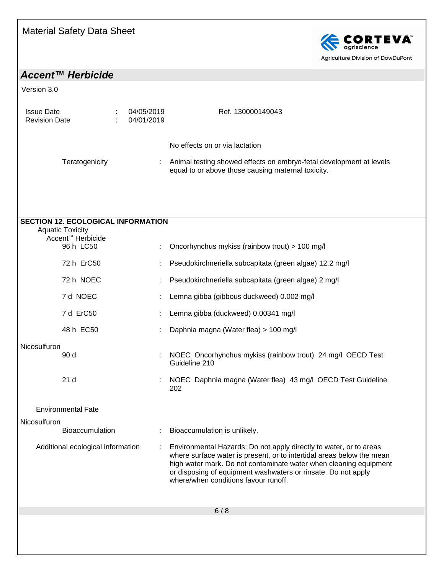

## *Accent™ Herbicide*

| <b>Issue Date</b><br><b>Revision Date</b>                            | 04/05/2019<br>04/01/2019 | Ref. 130000149043                                                                                                                                                                                                                                                                                                         |
|----------------------------------------------------------------------|--------------------------|---------------------------------------------------------------------------------------------------------------------------------------------------------------------------------------------------------------------------------------------------------------------------------------------------------------------------|
|                                                                      |                          | No effects on or via lactation                                                                                                                                                                                                                                                                                            |
| Teratogenicity                                                       |                          | Animal testing showed effects on embryo-fetal development at levels<br>equal to or above those causing maternal toxicity.                                                                                                                                                                                                 |
|                                                                      |                          |                                                                                                                                                                                                                                                                                                                           |
| <b>SECTION 12. ECOLOGICAL INFORMATION</b><br><b>Aquatic Toxicity</b> |                          |                                                                                                                                                                                                                                                                                                                           |
| Accent <sup>™</sup> Herbicide                                        |                          |                                                                                                                                                                                                                                                                                                                           |
| 96 h LC50                                                            |                          | Oncorhynchus mykiss (rainbow trout) > 100 mg/l                                                                                                                                                                                                                                                                            |
| 72 h ErC50                                                           |                          | Pseudokirchneriella subcapitata (green algae) 12.2 mg/l                                                                                                                                                                                                                                                                   |
| 72 h NOEC                                                            |                          | Pseudokirchneriella subcapitata (green algae) 2 mg/l                                                                                                                                                                                                                                                                      |
| 7 d NOEC                                                             |                          | Lemna gibba (gibbous duckweed) 0.002 mg/l                                                                                                                                                                                                                                                                                 |
| 7 d ErC50                                                            |                          | Lemna gibba (duckweed) 0.00341 mg/l                                                                                                                                                                                                                                                                                       |
| 48 h EC50                                                            |                          | Daphnia magna (Water flea) > 100 mg/l                                                                                                                                                                                                                                                                                     |
| Nicosulfuron                                                         |                          |                                                                                                                                                                                                                                                                                                                           |
| 90 d                                                                 |                          | NOEC Oncorhynchus mykiss (rainbow trout) 24 mg/l OECD Test<br>Guideline 210                                                                                                                                                                                                                                               |
| 21d                                                                  |                          | NOEC Daphnia magna (Water flea) 43 mg/l OECD Test Guideline<br>202                                                                                                                                                                                                                                                        |
| <b>Environmental Fate</b>                                            |                          |                                                                                                                                                                                                                                                                                                                           |
| Nicosulfuron                                                         |                          |                                                                                                                                                                                                                                                                                                                           |
| Bioaccumulation                                                      |                          | Bioaccumulation is unlikely.                                                                                                                                                                                                                                                                                              |
| Additional ecological information                                    |                          | Environmental Hazards: Do not apply directly to water, or to areas<br>where surface water is present, or to intertidal areas below the mean<br>high water mark. Do not contaminate water when cleaning equipment<br>or disposing of equipment washwaters or rinsate. Do not apply<br>where/when conditions favour runoff. |
|                                                                      |                          | 6/8                                                                                                                                                                                                                                                                                                                       |
|                                                                      |                          |                                                                                                                                                                                                                                                                                                                           |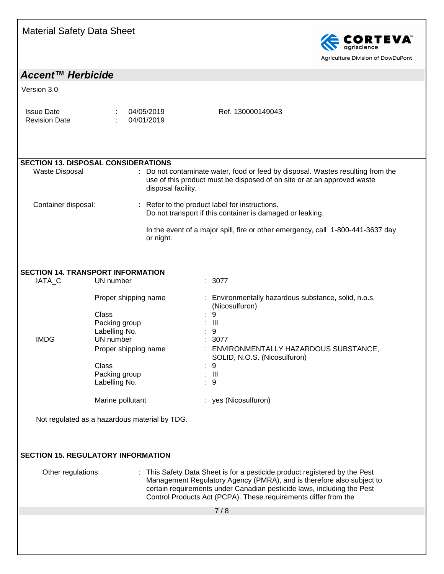

*Accent™ Herbicide*

Version 3.0

|--|--|--|--|--|

| <b>SECTION 13. DISPOSAL CONSIDERATIONS</b> |                                                                                                                                                                                  |
|--------------------------------------------|----------------------------------------------------------------------------------------------------------------------------------------------------------------------------------|
| Waste Disposal                             | : Do not contaminate water, food or feed by disposal. Wastes resulting from the<br>use of this product must be disposed of on site or at an approved waste<br>disposal facility. |
| Container disposal:                        | : Refer to the product label for instructions.<br>Do not transport if this container is damaged or leaking.                                                                      |
|                                            | In the event of a major spill, fire or other emergency, call 1-800-441-3637 day<br>or night.                                                                                     |

#### **SECTION 14. TRANSPORT INFORMATION**

| IATA C      | UN number            | : 3077                                                                 |
|-------------|----------------------|------------------------------------------------------------------------|
|             | Proper shipping name | : Environmentally hazardous substance, solid, n.o.s.<br>(Nicosulfuron) |
|             | Class                | -9<br>÷                                                                |
|             | Packing group        | : III                                                                  |
|             | Labelling No.        | : 9                                                                    |
| <b>IMDG</b> | UN number            | : 3077                                                                 |
|             | Proper shipping name | ENVIRONMENTALLY HAZARDOUS SUBSTANCE,<br>SOLID, N.O.S. (Nicosulfuron)   |
|             | <b>Class</b>         | : 9                                                                    |
|             | Packing group        | : III                                                                  |
|             | Labelling No.        | -9<br>÷.                                                               |
|             | Marine pollutant     | yes (Nicosulfuron)                                                     |

Not regulated as a hazardous material by TDG.

#### **SECTION 15. REGULATORY INFORMATION**

Other regulations : This Safety Data Sheet is for a pesticide product registered by the Pest Management Regulatory Agency (PMRA), and is therefore also subject to certain requirements under Canadian pesticide laws, including the Pest Control Products Act (PCPA). These requirements differ from the